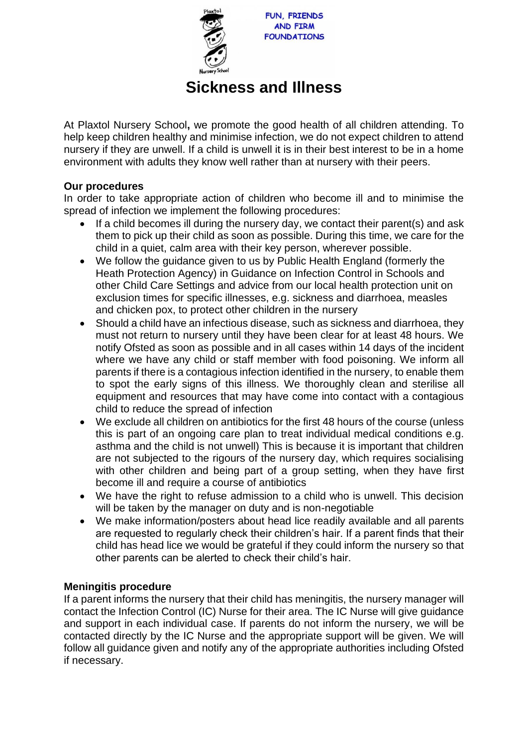

**FUN, FRIENDS AND FIRM FOUNDATIONS** 

## **Sickness and Illness**

At Plaxtol Nursery School**,** we promote the good health of all children attending. To help keep children healthy and minimise infection, we do not expect children to attend nursery if they are unwell. If a child is unwell it is in their best interest to be in a home environment with adults they know well rather than at nursery with their peers.

## **Our procedures**

In order to take appropriate action of children who become ill and to minimise the spread of infection we implement the following procedures:

- If a child becomes ill during the nursery day, we contact their parent(s) and ask them to pick up their child as soon as possible. During this time, we care for the child in a quiet, calm area with their key person, wherever possible.
- We follow the guidance given to us by Public Health England (formerly the Heath Protection Agency) in Guidance on Infection Control in Schools and other Child Care Settings and advice from our local health protection unit on exclusion times for specific illnesses, e.g. sickness and diarrhoea, measles and chicken pox, to protect other children in the nursery
- Should a child have an infectious disease, such as sickness and diarrhoea, they must not return to nursery until they have been clear for at least 48 hours. We notify Ofsted as soon as possible and in all cases within 14 days of the incident where we have any child or staff member with food poisoning. We inform all parents if there is a contagious infection identified in the nursery, to enable them to spot the early signs of this illness. We thoroughly clean and sterilise all equipment and resources that may have come into contact with a contagious child to reduce the spread of infection
- We exclude all children on antibiotics for the first 48 hours of the course (unless this is part of an ongoing care plan to treat individual medical conditions e.g. asthma and the child is not unwell) This is because it is important that children are not subjected to the rigours of the nursery day, which requires socialising with other children and being part of a group setting, when they have first become ill and require a course of antibiotics
- We have the right to refuse admission to a child who is unwell. This decision will be taken by the manager on duty and is non-negotiable
- We make information/posters about head lice readily available and all parents are requested to regularly check their children's hair. If a parent finds that their child has head lice we would be grateful if they could inform the nursery so that other parents can be alerted to check their child's hair.

## **Meningitis procedure**

If a parent informs the nursery that their child has meningitis, the nursery manager will contact the Infection Control (IC) Nurse for their area. The IC Nurse will give guidance and support in each individual case. If parents do not inform the nursery, we will be contacted directly by the IC Nurse and the appropriate support will be given. We will follow all guidance given and notify any of the appropriate authorities including Ofsted if necessary.